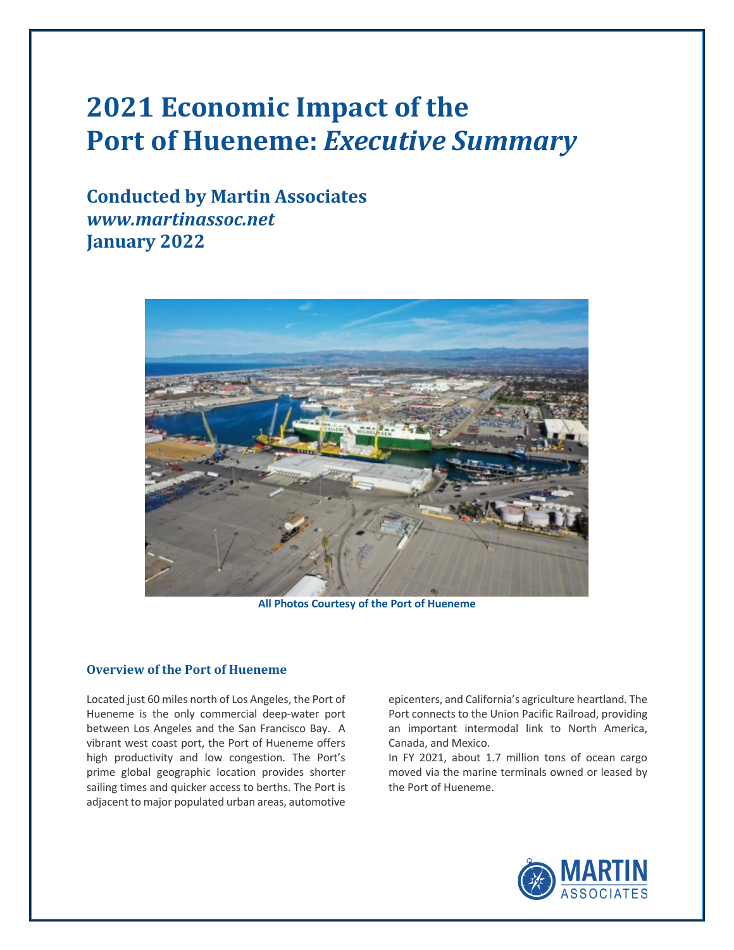# **2021 Economic Impact of the Port of Hueneme: Executive Summary**

**Conducted by Martin Associates** *www.martinassoc.net* **January 2022**



**All Photos Courtesy of the Port of Hueneme**

#### **Overview of the Port of Hueneme**

Located just 60 miles north of Los Angeles, the Port of Hueneme is the only commercial deep-water port between Los Angeles and the San Francisco Bay. A vibrant west coast port, the Port of Hueneme offers high productivity and low congestion. The Port's prime global geographic location provides shorter sailing times and quicker access to berths. The Port is adjacent to major populated urban areas, automotive

epicenters, and California's agriculture heartland. The Port connects to the Union Pacific Railroad, providing an important intermodal link to North America, Canada, and Mexico.

In FY 2021, about 1.7 million tons of ocean cargo moved via the marine terminals owned or leased by the Port of Hueneme.

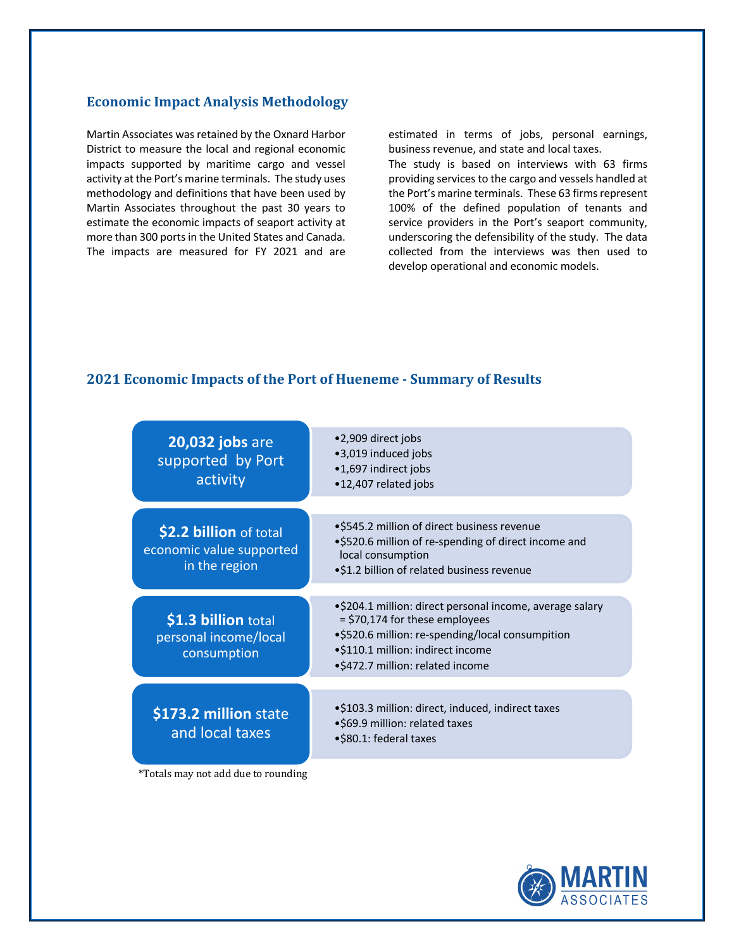## **Economic Impact Analysis Methodology**

Martin Associates was retained by the Oxnard Harbor District to measure the local and regional economic impacts supported by maritime cargo and vessel activity at the Port's marine terminals. The study uses methodology and definitions that have been used by Martin Associates throughout the past 30 years to estimate the economic impacts of seaport activity at more than 300 ports in the United States and Canada. The impacts are measured for FY 2021 and are estimated in terms of jobs, personal earnings, business revenue, and state and local taxes.

The study is based on interviews with 63 firms providing services to the cargo and vessels handled at the Port's marine terminals. These 63 firms represent 100% of the defined population of tenants and service providers in the Port's seaport community, underscoring the defensibility of the study. The data collected from the interviews was then used to develop operational and economic models.

## **2021 Economic Impacts of the Port of Hueneme - Summary of Results**

| 20,032 jobs are<br>supported by Port<br>activity                    | •2,909 direct jobs<br>•3,019 induced jobs<br>•1,697 indirect jobs<br>•12,407 related jobs                                                                                                                               |
|---------------------------------------------------------------------|-------------------------------------------------------------------------------------------------------------------------------------------------------------------------------------------------------------------------|
| \$2.2 billion of total<br>economic value supported<br>in the region | •\$545.2 million of direct business revenue<br>•\$520.6 million of re-spending of direct income and<br>local consumption<br>.\$1.2 billion of related business revenue                                                  |
| \$1.3 billion total<br>personal income/local<br>consumption         | •\$204.1 million: direct personal income, average salary<br>= \$70,174 for these employees<br>•\$520.6 million: re-spending/local consumpition<br>•\$110.1 million: indirect income<br>•\$472.7 million: related income |
| \$173.2 million state<br>and local taxes                            | •\$103.3 million: direct, induced, indirect taxes<br>•\$69.9 million: related taxes<br>•\$80.1: federal taxes                                                                                                           |

\*Totals may not add due to rounding